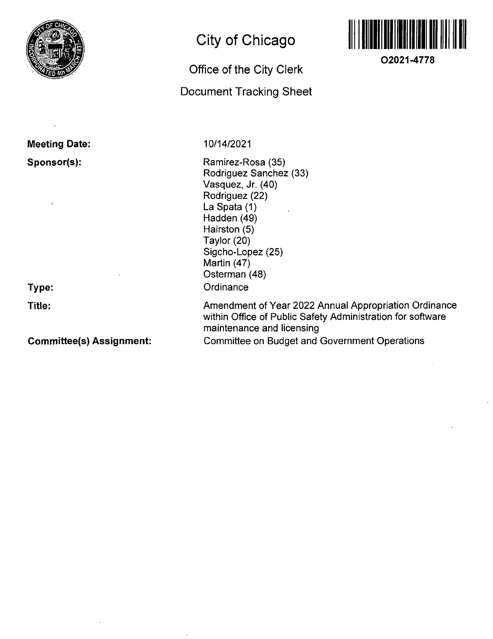

### **Meeting Date: Sponsor(s):**

 $\overline{1}$ 

**Type: Title:** 

### **Committee(s) Assignment:**

# **City of Chicago**

## **Office of the City Clerk**

### **Document Tracking Sheet**

10/14/2021

Ramirez-Rosa (35) Rodriguez Sanchez (33) Vasquez, Jr. (40) Rodriguez (22) La Spata (1) Hadden (49) Hairston (5) Taylor (20) Sigcho-Lopez (25) Martin (47) Osterman (48) **Ordinance** 

Amendment of Year 2022 Annual Appropriation Ordinance within Office of Public Safety Administration for software maintenance and licensing Committee on Budget and Government Operations

**O2021-4778**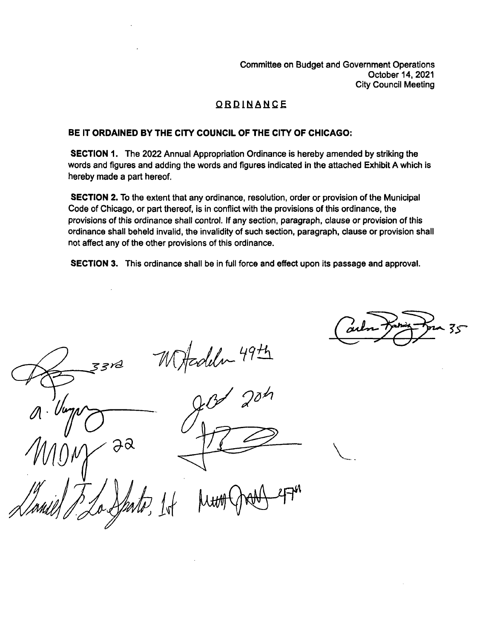Committee on Budget and Government Operations October 14, 2021 City Council Meeting

### **QBDINANQI**

#### **BE IT ORDAINED BY THE CITY COUNCIL OF THE CITY OF CHICAGO:**

SECTION 1. The 2022 Annual Appropriation Ordinance is hereby amended by striking the words and figures and adding the words and figures indicated in the attached Exhibit A which is hereby made a part hereof.

SECTION 2. To the extent that any ordinance, resolution, order or provision of the Municipal Code of Chicago, or part thereof, is in conflict with the provisions of this ordinance, the provisions of this ordinance shall control. If any section, paragraph, clause or provision of this ordinance shall beheld invalid, the invalidity of such section, paragraph, clause or provision shall not affect any of the other provisions of this ordinance.

SECTION 3. This ordinance shall be in full force and effect upon its passage and approval.

33rd  $\partial \alpha$ 

Jelen 49th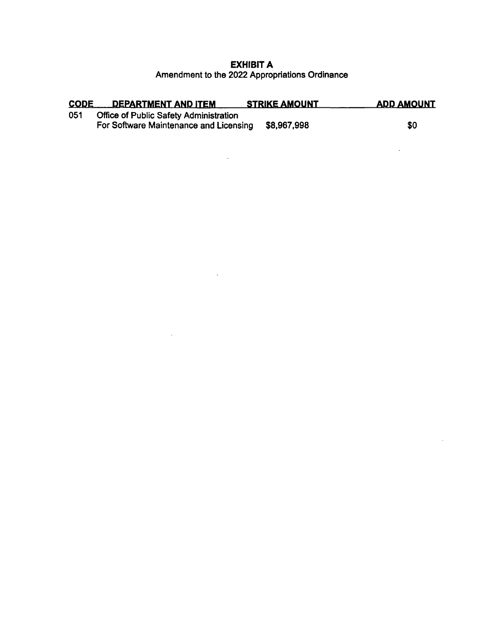#### **EXHIBIT A**  Amendment to the 2022 Appropriations Ordinance

| <b>CODE</b> | DEPARTMENT AND ITEM                                                              | <b>STRIKE AMOUNT</b> | <b>ADD AMOUNT</b> |
|-------------|----------------------------------------------------------------------------------|----------------------|-------------------|
| 051         | Office of Public Safety Administration<br>For Software Maintenance and Licensing | \$8,967,998          | \$0               |

 $\Delta \sim 10^{11}$  m  $^{-1}$ 

 $\alpha$  ,  $\alpha$  ,  $\alpha$ 

 $\sim 10^{-10}$ 

 $\sim 100$ 

 $\sim$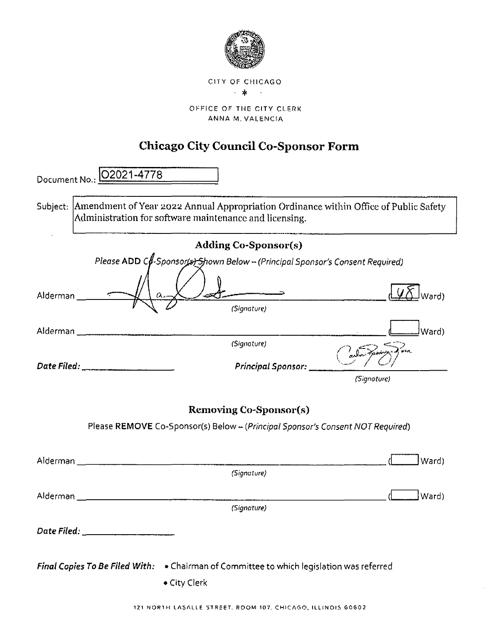

OFFICE OF TME CITY CLERK ANNA M. VALENCIA

# **Chicago City Council Co-Sponsor Form**

| Document No.: | O2021-4778                                                                                                                                              |                         |
|---------------|---------------------------------------------------------------------------------------------------------------------------------------------------------|-------------------------|
|               | Subject: Amendment of Year 2022 Annual Appropriation Ordinance within Office of Public Safety<br>Administration for software maintenance and licensing. |                         |
|               | <b>Adding Co-Sponsor(s)</b>                                                                                                                             |                         |
|               | Please ADD Cf-Sponsor(s) Shown Below - (Principal Sponsor's Consent Required)                                                                           |                         |
| Alderman      |                                                                                                                                                         |                         |
|               | (Signature)                                                                                                                                             |                         |
|               |                                                                                                                                                         | lWard)                  |
|               | (Signature)                                                                                                                                             |                         |
|               | Date Filed: ______________________                                                                                                                      | Principal Sponsor: ____ |
|               |                                                                                                                                                         | (Signature)             |
|               | <b>Removing Co-Sponsor(s)</b>                                                                                                                           |                         |
|               | Please REMOVE Co-Sponsor(s) Below - (Principal Sponsor's Consent NOT Required)                                                                          |                         |
|               |                                                                                                                                                         | Ward)                   |
|               | (Signature)                                                                                                                                             |                         |
|               |                                                                                                                                                         | [Ward)                  |
|               | (Signature)                                                                                                                                             |                         |
|               | Date Filed: ________________                                                                                                                            |                         |
|               | Final Copies To Be Filed With: . Chairman of Committee to which legislation was referred<br>• City Clerk                                                |                         |

 $\sim$